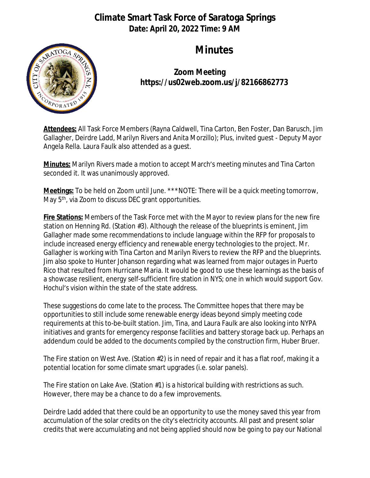## **Climate Smart Task Force of Saratoga Springs Date: April 20, 2022 Time: 9 AM**



## **Minutes**

**Zoom Meeting https://us02web.zoom.us/j/82166862773**

**Attendees:** All Task Force Members (Rayna Caldwell, Tina Carton, Ben Foster, Dan Barusch, Jim Gallagher, Deirdre Ladd, Marilyn Rivers and Anita Morzillo); Plus, invited guest - Deputy Mayor Angela Rella. Laura Faulk also attended as a guest.

**Minutes:** Marilyn Rivers made a motion to accept March's meeting minutes and Tina Carton seconded it. It was unanimously approved.

**Meetings:** To be held on Zoom until June. \*\*\*NOTE: There will be a quick meeting tomorrow, May 5<sup>th</sup>, via Zoom to discuss DEC grant opportunities.

**Fire Stations:** Members of the Task Force met with the Mayor to review plans for the new fire station on Henning Rd. (Station #3). Although the release of the blueprints is eminent, Jim Gallagher made some recommendations to include language within the RFP for proposals to include increased energy efficiency and renewable energy technologies to the project. Mr. Gallagher is working with Tina Carton and Marilyn Rivers to review the RFP and the blueprints. Jim also spoke to Hunter Johanson regarding what was learned from major outages in Puerto Rico that resulted from Hurricane Maria. It would be good to use these learnings as the basis of a showcase resilient, energy self-sufficient fire station in NYS; one in which would support Gov. Hochul's vision within the state of the state address.

These suggestions do come late to the process. The Committee hopes that there may be opportunities to still include some renewable energy ideas beyond simply meeting code requirements at this to-be-built station. Jim, Tina, and Laura Faulk are also looking into NYPA initiatives and grants for emergency response facilities and battery storage back up. Perhaps an addendum could be added to the documents compiled by the construction firm, Huber Bruer.

The Fire station on West Ave. (Station #2) is in need of repair and it has a flat roof, making it a potential location for some climate smart upgrades (i.e. solar panels).

The Fire station on Lake Ave. (Station #1) is a historical building with restrictions as such. However, there may be a chance to do a few improvements.

Deirdre Ladd added that there could be an opportunity to use the money saved this year from accumulation of the solar credits on the city's electricity accounts. All past and present solar credits that were accumulating and not being applied should now be going to pay our National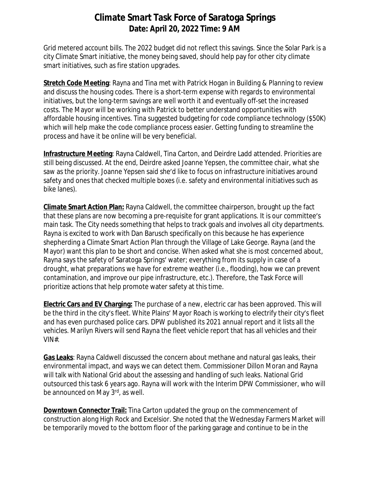## **Climate Smart Task Force of Saratoga Springs Date: April 20, 2022 Time: 9 AM**

Grid metered account bills. The 2022 budget *did not* reflect this savings. Since the Solar Park is a city Climate Smart initiative, the money being saved, should help pay for other city climate smart initiatives, such as fire station upgrades.

**Stretch Code Meeting**: Rayna and Tina met with Patrick Hogan in Building & Planning to review and discuss the housing codes. There is a short-term expense with regards to environmental initiatives, but the long-term savings are well worth it and eventually off-set the increased costs. The Mayor will be working with Patrick to better understand opportunities with affordable housing incentives. Tina suggested budgeting for code compliance technology (\$50K) which will help make the code compliance process easier. Getting funding to streamline the process and have it be online will be very beneficial.

**Infrastructure Meeting**: Rayna Caldwell, Tina Carton, and Deirdre Ladd attended. Priorities are still being discussed. At the end, Deirdre asked Joanne Yepsen, the committee chair, what she saw as the priority. Joanne Yepsen said she'd like to focus on infrastructure initiatives around safety and ones that checked multiple boxes (i.e. safety *and* environmental initiatives such as bike lanes).

**Climate Smart Action Plan:** Rayna Caldwell, the committee chairperson, brought up the fact that these plans are now becoming a pre-requisite for grant applications. It is our committee's main task. The City needs something that helps to track goals and involves all city departments. Rayna is excited to work with Dan Barusch specifically on this because he has experience shepherding a Climate Smart Action Plan through the Village of Lake George. Rayna (and the Mayor) want this plan to be short and concise. When asked what she is most concerned about, Rayna says the safety of Saratoga Springs' water; everything from its supply in case of a drought, what preparations we have for extreme weather (i.e., flooding), how we can prevent contamination, and improve our pipe infrastructure, etc.). Therefore, the Task Force will prioritize actions that help promote water safety at this time.

**Electric Cars and EV Charging:** The purchase of a new, electric car has been approved. This will be the third in the city's fleet. White Plains' Mayor Roach is working to electrify their city's fleet and has even purchased police cars. DPW published its 2021 annual report and it lists all the vehicles. Marilyn Rivers will send Rayna the fleet vehicle report that has all vehicles and their VIN#.

**Gas Leaks**: Rayna Caldwell discussed the concern about methane and natural gas leaks, their environmental impact, and ways we can detect them. Commissioner Dillon Moran and Rayna will talk with National Grid about the assessing and handling of such leaks. National Grid outsourced this task 6 years ago. Rayna will work with the Interim DPW Commissioner, who will be announced on May 3<sup>rd</sup>, as well.

**Downtown Connector Trail:** Tina Carton updated the group on the commencement of construction along High Rock and Excelsior. She noted that the Wednesday Farmers Market will be temporarily moved to the bottom floor of the parking garage and continue to be in the